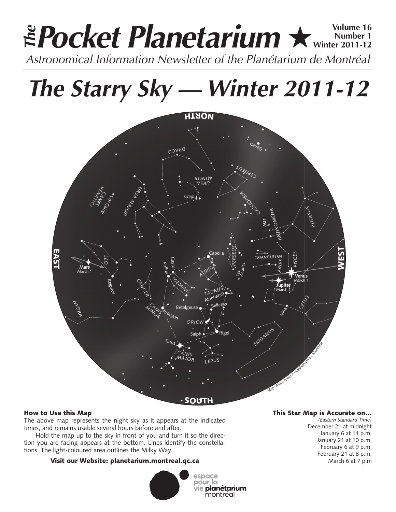# **Pocket Planetarium ★** Wolume 16 **Number 1 Winter 2011-12 EPocket Planetarium**  $\star$  Number 16<br>Astronomical Information Newsletter of the Planétarium de Montréal

**The Starry Sky — Winter 2011-12**



### How to Use this Map

The above map represents the night sky as it appears at the indicated times, and remains usable several hours before and after.

Hold the map up to the sky in front of you and turn it so the direction you are facing appears at the bottom. Lines identify the constellations. The light-coloured area outlines the Milky Way.

# Visit our Website: planetarium.montreal.qc.ca



## This Star Map is Accurate on…

*(Eastern Standard Time)* December 21 at midnight January 6 at 11 p.m. January 21 at 10 p.m. February 6 at 9 p.m. February 21 at 8 p.m. March 6 at 7 p.m